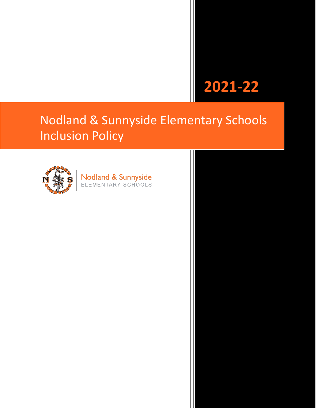# **2021-22**

# Nodland & Sunnyside Elementary Schools Inclusion Policy



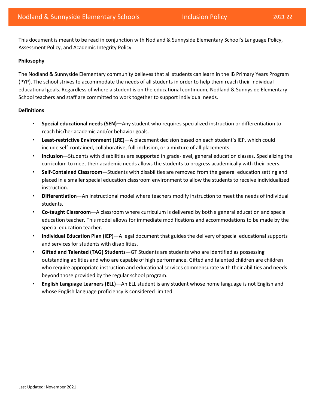This document is meant to be read in conjunction with Nodland & Sunnyside Elementary School's Language Policy, Assessment Policy, and Academic Integrity Policy.

# **Philosophy**

The Nodland & Sunnyside Elementary community believes that all students can learn in the IB Primary Years Program (PYP). The school strives to accommodate the needs of all students in order to help them reach their individual educational goals. Regardless of where a student is on the educational continuum, Nodland & Sunnyside Elementary School teachers and staff are committed to work together to support individual needs.

# **Definitions**

- **Special educational needs (SEN)—**Any student who requires specialized instruction or differentiation to reach his/her academic and/or behavior goals.
- • **Least-restrictive Environment (LRE)—**A placement decision based on each student's IEP, which could include self-contained, collaborative, full-inclusion, or a mixture of all placements.
- curriculum to meet their academic needs allows the students to progress academically with their peers. • **Inclusion—**Students with disabilities are supported in grade-level, general education classes. Specializing the
- **Self-Contained Classroom—**Students with disabilities are removed from the general education setting and placed in a smaller special education classroom environment to allow the students to receive individualized instruction.
- • **Differentiation—**An instructional model where teachers modify instruction to meet the needs of individual students.
- **Co-taught Classroom—**A classroom where curriculum is delivered by both a general education and special education teacher. This model allows for immediate modifications and accommodations to be made by the special education teacher.
- **Individual Education Plan (IEP)—**A legal document that guides the delivery of special educational supports and services for students with disabilities.
- **Gifted and Talented (TAG) Students—**GT Students are students who are identified as possessing outstanding abilities and who are capable of high performance. Gifted and talented children are children who require appropriate instruction and educational services commensurate with their abilities and needs beyond those provided by the regular school program.
- **English Language Learners (ELL)—**An ELL student is any student whose home language is not English and whose English language proficiency is considered limited.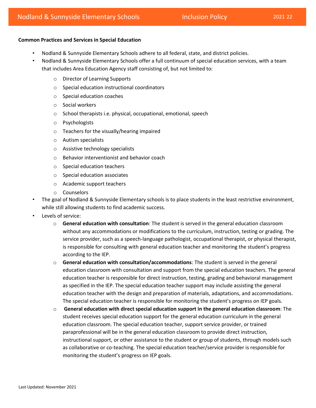## **Common Practices and Services in Special Education**

- Nodland & Sunnyside Elementary Schools adhere to all federal, state, and district policies.
- Nodland & Sunnyside Elementary Schools offer a full continuum of special education services, with a team that includes Area Education Agency staff consisting of, but not limited to:
	- o Director of Learning Supports
	- o Special education instructional coordinators
	- o Special education coaches
	- o Social workers
	- o School therapists i.e. physical, occupational, emotional, speech
	- o Psychologists
	- o Teachers for the visually/hearing impaired
	- o Autism specialists
	- o Assistive technology specialists
	- o Behavior interventionist and behavior coach
	- o Special education teachers
	- o Special education associates
	- o Academic support teachers
	- o Counselors
- The goal of Nodland & Sunnyside Elementary schools is to place students in the least restrictive environment, while still allowing students to find academic success.
- Levels of service:
	- o **General education with consultation**: The student is served in the general education classroom without any accommodations or modifications to the curriculum, instruction, testing or grading. The service provider, such as a speech-language pathologist, occupational therapist, or physical therapist, is responsible for consulting with general education teacher and monitoring the student's progress according to the IEP.
	- education classroom with consultation and support from the special education teachers. The general o **General education with consultation/accommodations**: The student is served in the general education teacher is responsible for direct instruction, testing, grading and behavioral management as specified in the IEP. The special education teacher support may include assisting the general education teacher with the design and preparation of materials, adaptations, and accommodations. The special education teacher is responsible for monitoring the student's progress on IEP goals.
	- o **General education with direct special education support in the general education classroom**: The student receives special education support for the general education curriculum in the general education classroom. The special education teacher, support service provider, or trained paraprofessional will be in the general education classroom to provide direct instruction, instructional support, or other assistance to the student or group of students, through models such as collaborative or co-teaching. The special education teacher/service provider is responsible for monitoring the student's progress on IEP goals.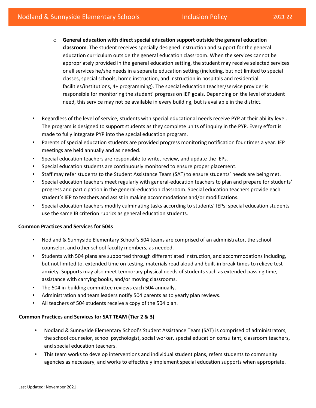- education curriculum outside the general education classroom. When the services cannot be o **General education with direct special education support outside the general education classroom**. The student receives specially designed instruction and support for the general appropriately provided in the general education setting, the student may receive selected services or all services he/she needs in a separate education setting (including, but not limited to special classes, special schools, home instruction, and instruction in hospitals and residential facilities/institutions, 4+ programming). The special education teacher/service provider is responsible for monitoring the student' progress on IEP goals. Depending on the level of student need, this service may not be available in every building, but is available in the district.
- Regardless of the level of service, students with special educational needs receive PYP at their ability level. The program is designed to support students as they complete units of inquiry in the PYP. Every effort is made to fully integrate PYP into the special education program.
- Parents of special education students are provided progress monitoring notification four times a year. IEP meetings are held annually and as needed.
- Special education teachers are responsible to write, review, and update the IEPs.
- Special education students are continuously monitored to ensure proper placement.
- Staff may refer students to the Student Assistance Team (SAT) to ensure students' needs are being met.
- Special education teachers meet regularly with general-education teachers to plan and prepare for students' progress and participation in the general-education classroom. Special education teachers provide each student's IEP to teachers and assist in making accommodations and/or modifications.
- Special education teachers modify culminating tasks according to students' IEPs; special education students use the same IB criterion rubrics as general education students.

# **Common Practices and Services for 504s**

- Nodland & Sunnyside Elementary School's 504 teams are comprised of an administrator, the school counselor, and other school faculty members, as needed.
- Students with 504 plans are supported through differentiated instruction, and accommodations including, but not limited to, extended time on testing, materials read aloud and built-in break times to relieve test anxiety. Supports may also meet temporary physical needs of students such as extended passing time, assistance with carrying books, and/or moving classrooms.
- The 504 in-building committee reviews each 504 annually.
- Administration and team leaders notify 504 parents as to yearly plan reviews.
- All teachers of 504 students receive a copy of the 504 plan.

# **Common Practices and Services for SAT TEAM (Tier 2 & 3)**

- Nodland & Sunnyside Elementary School's Student Assistance Team (SAT) is comprised of administrators, the school counselor, school psychologist, social worker, special education consultant, classroom teachers, and special education teachers.
- This team works to develop interventions and individual student plans, refers students to community agencies as necessary, and works to effectively implement special education supports when appropriate.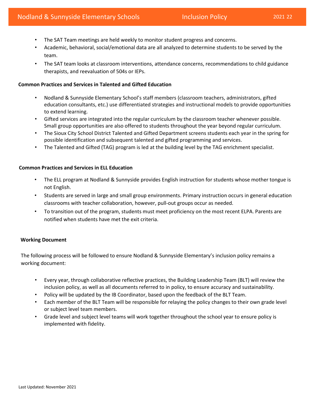- The SAT Team meetings are held weekly to monitor student progress and concerns.
- Academic, behavioral, social/emotional data are all analyzed to determine students to be served by the team.
- The SAT team looks at classroom interventions, attendance concerns, recommendations to child guidance therapists, and reevaluation of 504s or IEPs.

## **Common Practices and Services in Talented and Gifted Education**

- Nodland & Sunnyside Elementary School's staff members (classroom teachers, administrators, gifted education consultants, etc.) use differentiated strategies and instructional models to provide opportunities to extend learning.
- Gifted services are integrated into the regular curriculum by the classroom teacher whenever possible. Small group opportunities are also offered to students throughout the year beyond regular curriculum.
- The Sioux City School District Talented and Gifted Department screens students each year in the spring for possible identification and subsequent talented and gifted programming and services.
- The Talented and Gifted (TAG) program is led at the building level by the TAG enrichment specialist.

## **Common Practices and Services in ELL Education**

- The ELL program at Nodland & Sunnyside provides English instruction for students whose mother tongue is not English.
- Students are served in large and small group environments. Primary instruction occurs in general education classrooms with teacher collaboration, however, pull-out groups occur as needed.
- • To transition out of the program, students must meet proficiency on the most recent ELPA. Parents are notified when students have met the exit criteria.

## **Working Document**

The following process will be followed to ensure Nodland & Sunnyside Elementary's inclusion policy remains a working document:

- Every year, through collaborative reflective practices, the Building Leadership Team (BLT) will review the inclusion policy, as well as all documents referred to in policy, to ensure accuracy and sustainability.
- Policy will be updated by the IB Coordinator, based upon the feedback of the BLT Team.
- • Each member of the BLT Team will be responsible for relaying the policy changes to their own grade level or subject level team members.
- Grade level and subject level teams will work together throughout the school year to ensure policy is implemented with fidelity.